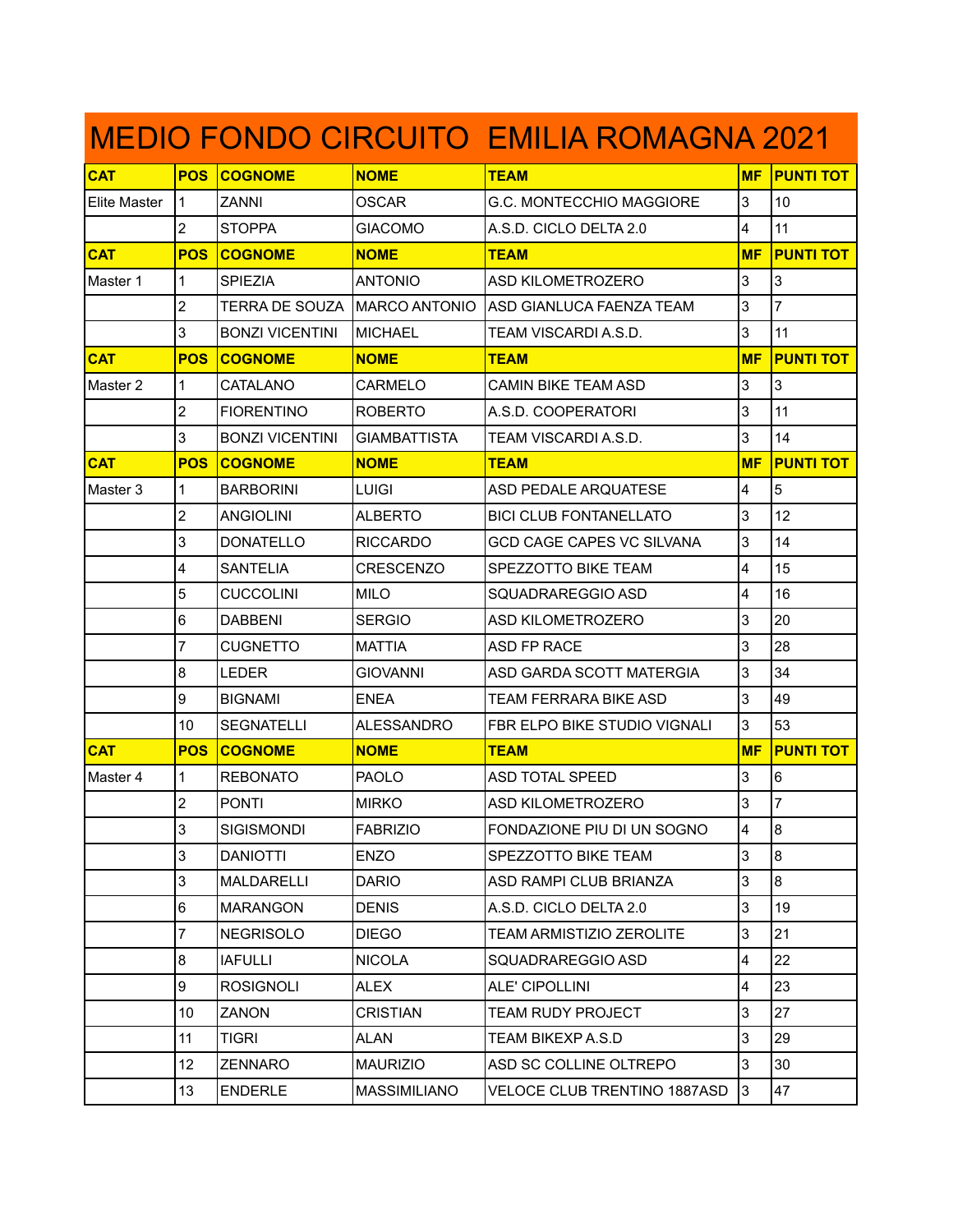| <b>MEDIO FONDO CIRCUITO EMILIA ROMAGNA 2021</b> |                |                                |                     |                                  |                         |                  |  |
|-------------------------------------------------|----------------|--------------------------------|---------------------|----------------------------------|-------------------------|------------------|--|
| <b>CAT</b>                                      | <b>POS</b>     | <b>COGNOME</b>                 | <b>NOME</b>         | <b>TEAM</b>                      | <b>MF</b>               | <b>PUNTI TOT</b> |  |
| Elite Master                                    | 11             | <b>ZANNI</b>                   | <b>OSCAR</b>        | G.C. MONTECCHIO MAGGIORE         | 3                       | 10               |  |
|                                                 | 2              | <b>STOPPA</b>                  | <b>GIACOMO</b>      | A.S.D. CICLO DELTA 2.0           | 4                       | 11               |  |
| <b>CAT</b>                                      | <b>POS</b>     | <b>COGNOME</b>                 | <b>NOME</b>         | <b>TEAM</b>                      | <b>MF</b>               | <b>PUNTI TOT</b> |  |
| Master 1                                        | $\mathbf{1}$   | <b>SPIEZIA</b>                 | <b>ANTONIO</b>      | <b>ASD KILOMETROZERO</b>         | 3                       | 3                |  |
|                                                 | $\overline{2}$ | TERRA DE SOUZA   MARCO ANTONIO |                     | IASD GIANLUCA FAENZA TEAM        | 3                       | 7                |  |
|                                                 | 3              | <b>BONZI VICENTINI</b>         | MICHAEL             | TEAM VISCARDI A.S.D.             | 3                       | 11               |  |
| <b>CAT</b>                                      | <b>POS</b>     | <b>COGNOME</b>                 | <b>NOME</b>         | <b>TEAM</b>                      | <b>MF</b>               | <b>PUNTI TOT</b> |  |
| Master <sub>2</sub>                             | 1              | CATALANO                       | CARMELO             | <b>CAMIN BIKE TEAM ASD</b>       | 3                       | 3                |  |
|                                                 | $\overline{2}$ | <b>FIORENTINO</b>              | <b>ROBERTO</b>      | A.S.D. COOPERATORI               | 3                       | 11               |  |
|                                                 | 3              | <b>BONZI VICENTINI</b>         | <b>GIAMBATTISTA</b> | TEAM VISCARDI A.S.D.             | 3                       | 14               |  |
| <b>CAT</b>                                      | <b>POS</b>     | <b>COGNOME</b>                 | <b>NOME</b>         | <b>TEAM</b>                      | <b>MF</b>               | <b>PUNTI TOT</b> |  |
| Master 3                                        | 1              | <b>BARBORINI</b>               | <b>LUIGI</b>        | <b>ASD PEDALE ARQUATESE</b>      | 4                       | $\overline{5}$   |  |
|                                                 | $\overline{2}$ | ANGIOLINI                      | ALBERTO             | <b>BICI CLUB FONTANELLATO</b>    | 3                       | 12               |  |
|                                                 | 3              | <b>DONATELLO</b>               | <b>RICCARDO</b>     | <b>GCD CAGE CAPES VC SILVANA</b> | 3                       | 14               |  |
|                                                 | 4              | <b>SANTELIA</b>                | <b>CRESCENZO</b>    | SPEZZOTTO BIKE TEAM              | 4                       | 15               |  |
|                                                 | 5              | <b>CUCCOLINI</b>               | <b>MILO</b>         | SQUADRAREGGIO ASD                | 4                       | 16               |  |
|                                                 | 6              | <b>DABBENI</b>                 | <b>SERGIO</b>       | <b>ASD KILOMETROZERO</b>         | 3                       | 20               |  |
|                                                 | 7              | CUGNETTO                       | MATTIA              | ASD FP RACE                      | 3                       | 28               |  |
|                                                 | 8              | <b>LEDER</b>                   | <b>GIOVANNI</b>     | ASD GARDA SCOTT MATERGIA         | 3                       | 34               |  |
|                                                 | 9              | <b>BIGNAMI</b>                 | <b>ENEA</b>         | <b>TEAM FERRARA BIKE ASD</b>     | 3                       | 49               |  |
|                                                 | 10             | <b>SEGNATELLI</b>              | <b>ALESSANDRO</b>   | FBR ELPO BIKE STUDIO VIGNALI     | 3                       | 53               |  |
| <b>CAT</b>                                      | <b>POS</b>     | <b>COGNOME</b>                 | <b>NOME</b>         | <b>TEAM</b>                      | <b>MF</b>               | <b>PUNTI TOT</b> |  |
| Master 4                                        | 1              | <b>REBONATO</b>                | <b>PAOLO</b>        | <b>ASD TOTAL SPEED</b>           | 3                       | 6                |  |
|                                                 | $\overline{2}$ | <b>PONTI</b>                   | <b>MIRKO</b>        | ASD KILOMETROZERO                | 3                       | $\overline{7}$   |  |
|                                                 | 3              | SIGISMONDI                     | <b>FABRIZIO</b>     | FONDAZIONE PIU DI UN SOGNO       | $\overline{4}$          | 8                |  |
|                                                 | 3              | <b>DANIOTTI</b>                | <b>ENZO</b>         | SPEZZOTTO BIKE TEAM              | 3                       | 8                |  |
|                                                 | 3              | MALDARELLI                     | <b>DARIO</b>        | <b>ASD RAMPI CLUB BRIANZA</b>    | 3                       | 8                |  |
|                                                 | 6              | <b>MARANGON</b>                | <b>DENIS</b>        | A.S.D. CICLO DELTA 2.0           | 3                       | 19               |  |
|                                                 | $\overline{7}$ | <b>NEGRISOLO</b>               | <b>DIEGO</b>        | <b>TEAM ARMISTIZIO ZEROLITE</b>  | 3                       | 21               |  |
|                                                 | 8              | <b>IAFULLI</b>                 | <b>NICOLA</b>       | SQUADRAREGGIO ASD                | 4                       | 22               |  |
|                                                 | 9              | <b>ROSIGNOLI</b>               | <b>ALEX</b>         | <b>ALE' CIPOLLINI</b>            | $\overline{\mathbf{4}}$ | 23               |  |
|                                                 | 10             | <b>ZANON</b>                   | <b>CRISTIAN</b>     | <b>TEAM RUDY PROJECT</b>         | 3                       | 27               |  |
|                                                 | 11             | TIGRI                          | <b>ALAN</b>         | TEAM BIKEXP A.S.D                | 3                       | 29               |  |
|                                                 | 12             | <b>ZENNARO</b>                 | <b>MAURIZIO</b>     | ASD SC COLLINE OLTREPO           | 3                       | 30               |  |
|                                                 | 13             | <b>ENDERLE</b>                 | <b>MASSIMILIANO</b> | VELOCE CLUB TRENTINO 1887ASD     | $\overline{3}$          | 47               |  |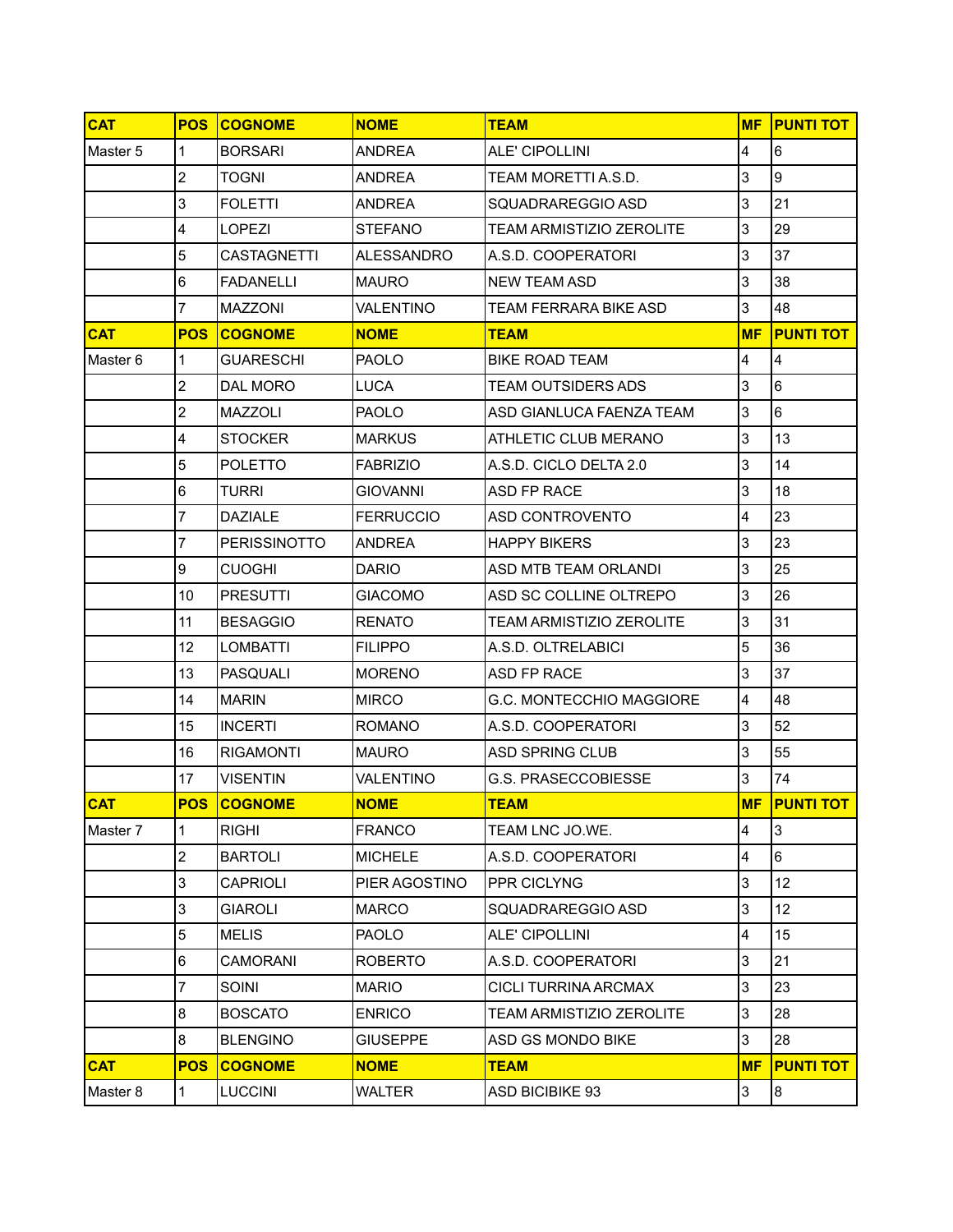| <b>CAT</b> | <b>POS</b>     | <b>COGNOME</b>      | <b>NOME</b>      | <b>TEAM</b>                     | <b>MF</b>               | <b>PUNTI TOT</b> |
|------------|----------------|---------------------|------------------|---------------------------------|-------------------------|------------------|
| Master 5   | 1              | <b>BORSARI</b>      | <b>ANDREA</b>    | ALE' CIPOLLINI                  | 4                       | 6                |
|            | $\overline{2}$ | <b>TOGNI</b>        | <b>ANDREA</b>    | TEAM MORETTI A.S.D.             | 3                       | l9               |
|            | 3              | <b>FOLETTI</b>      | <b>ANDREA</b>    | SQUADRAREGGIO ASD               | 3                       | 21               |
|            | 4              | <b>LOPEZI</b>       | <b>STEFANO</b>   | <b>TEAM ARMISTIZIO ZEROLITE</b> | 3                       | 29               |
|            | 5              | CASTAGNETTI         | ALESSANDRO       | A.S.D. COOPERATORI              | 3                       | 37               |
|            | 6              | <b>FADANELLI</b>    | <b>MAURO</b>     | <b>NEW TEAM ASD</b>             | 3                       | 38               |
|            | $\overline{7}$ | <b>MAZZONI</b>      | <b>VALENTINO</b> | TEAM FERRARA BIKE ASD           | 3                       | 48               |
| <b>CAT</b> | <b>POS</b>     | <b>COGNOME</b>      | <b>NOME</b>      | <b>TEAM</b>                     | <b>MF</b>               | <b>PUNTI TOT</b> |
| Master 6   | $\mathbf{1}$   | <b>GUARESCHI</b>    | <b>PAOLO</b>     | <b>BIKE ROAD TEAM</b>           | $\overline{\mathbf{4}}$ | 4                |
|            | $\overline{2}$ | DAL MORO            | LUCA             | <b>TEAM OUTSIDERS ADS</b>       | 3                       | 6                |
|            | $\overline{2}$ | <b>MAZZOLI</b>      | <b>PAOLO</b>     | ASD GIANLUCA FAENZA TEAM        | 3                       | 6                |
|            | 4              | <b>STOCKER</b>      | <b>MARKUS</b>    | ATHLETIC CLUB MERANO            | 3                       | 13               |
|            | 5              | <b>POLETTO</b>      | <b>FABRIZIO</b>  | A.S.D. CICLO DELTA 2.0          | 3                       | 14               |
|            | 6              | <b>TURRI</b>        | <b>GIOVANNI</b>  | ASD FP RACE                     | 3                       | 18               |
|            | 7              | DAZIALE             | <b>FERRUCCIO</b> | ASD CONTROVENTO                 | $\overline{\mathbf{4}}$ | 23               |
|            | $\overline{7}$ | <b>PERISSINOTTO</b> | <b>ANDREA</b>    | <b>HAPPY BIKERS</b>             | 3                       | 23               |
|            | 9              | <b>CUOGHI</b>       | <b>DARIO</b>     | ASD MTB TEAM ORLANDI            | 3                       | 25               |
|            | 10             | <b>PRESUTTI</b>     | <b>GIACOMO</b>   | ASD SC COLLINE OLTREPO          | 3                       | 26               |
|            | 11             | <b>BESAGGIO</b>     | <b>RENATO</b>    | <b>TEAM ARMISTIZIO ZEROLITE</b> | 3                       | 31               |
|            | 12             | <b>LOMBATTI</b>     | <b>FILIPPO</b>   | A.S.D. OLTRELABICI              | 5                       | 36               |
|            | 13             | <b>PASQUALI</b>     | <b>MORENO</b>    | ASD FP RACE                     | 3                       | 37               |
|            | 14             | <b>MARIN</b>        | <b>MIRCO</b>     | G.C. MONTECCHIO MAGGIORE        | $\overline{4}$          | 48               |
|            | 15             | <b>INCERTI</b>      | <b>ROMANO</b>    | A.S.D. COOPERATORI              | 3                       | 52               |
|            | 16             | <b>RIGAMONTI</b>    | <b>MAURO</b>     | <b>ASD SPRING CLUB</b>          | 3                       | 55               |
|            | 17             | <b>VISENTIN</b>     | <b>VALENTINO</b> | <b>G.S. PRASECCOBIESSE</b>      | 3                       | 74               |
| <b>CAT</b> |                | <b>POS COGNOME</b>  | <b>NOME</b>      | <b>TEAM</b>                     | <b>MF</b>               | <b>PUNTI TOT</b> |
| Master 7   | $\mathbf{1}$   | <b>RIGHI</b>        | <b>FRANCO</b>    | TEAM LNC JO.WE.                 | 4                       | 3                |
|            | $\overline{2}$ | <b>BARTOLI</b>      | <b>MICHELE</b>   | A.S.D. COOPERATORI              | 4                       | 6                |
|            | 3              | <b>CAPRIOLI</b>     | PIER AGOSTINO    | PPR CICLYNG                     | 3                       | 12               |
|            | 3              | <b>GIAROLI</b>      | <b>MARCO</b>     | SQUADRAREGGIO ASD               | 3                       | 12               |
|            | 5              | <b>MELIS</b>        | <b>PAOLO</b>     | ALE' CIPOLLINI                  | 4                       | 15               |
|            | 6              | <b>CAMORANI</b>     | <b>ROBERTO</b>   | A.S.D. COOPERATORI              | 3                       | 21               |
|            | $\overline{7}$ | <b>SOINI</b>        | <b>MARIO</b>     | CICLI TURRINA ARCMAX            | 3                       | 23               |
|            | 8              | <b>BOSCATO</b>      | <b>ENRICO</b>    | <b>TEAM ARMISTIZIO ZEROLITE</b> | 3                       | 28               |
|            | 8              | <b>BLENGINO</b>     | <b>GIUSEPPE</b>  | ASD GS MONDO BIKE               | 3                       | 28               |
| <b>CAT</b> | <b>POS</b>     | <b>COGNOME</b>      | <b>NOME</b>      | <b>TEAM</b>                     | <b>MF</b>               | <b>PUNTI TOT</b> |
| Master 8   | $\overline{1}$ | <b>LUCCINI</b>      | WALTER           | <b>ASD BICIBIKE 93</b>          | 3                       | 8                |